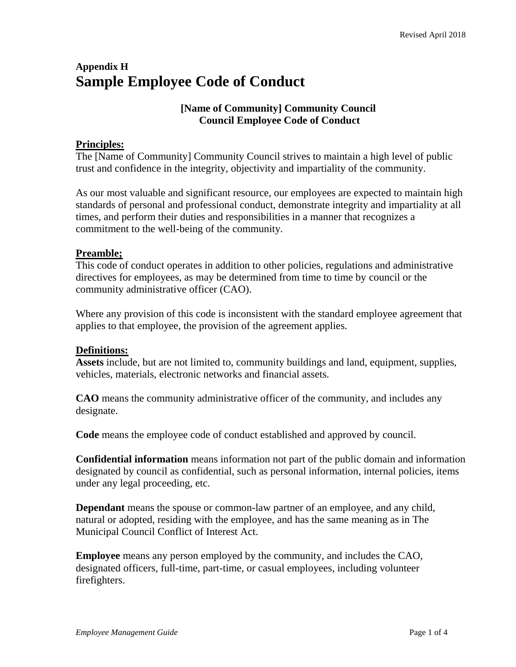# **Appendix H Sample Employee Code of Conduct**

# **[Name of Community] Community Council Council Employee Code of Conduct**

# **Principles:**

The [Name of Community] Community Council strives to maintain a high level of public trust and confidence in the integrity, objectivity and impartiality of the community.

As our most valuable and significant resource, our employees are expected to maintain high standards of personal and professional conduct, demonstrate integrity and impartiality at all times, and perform their duties and responsibilities in a manner that recognizes a commitment to the well-being of the community.

## **Preamble;**

This code of conduct operates in addition to other policies, regulations and administrative directives for employees, as may be determined from time to time by council or the community administrative officer (CAO).

Where any provision of this code is inconsistent with the standard employee agreement that applies to that employee, the provision of the agreement applies.

# **Definitions:**

**Assets** include, but are not limited to, community buildings and land, equipment, supplies, vehicles, materials, electronic networks and financial assets.

**CAO** means the community administrative officer of the community, and includes any designate.

**Code** means the employee code of conduct established and approved by council.

**Confidential information** means information not part of the public domain and information designated by council as confidential, such as personal information, internal policies, items under any legal proceeding, etc.

**Dependant** means the spouse or common-law partner of an employee, and any child, natural or adopted, residing with the employee, and has the same meaning as in The Municipal Council Conflict of Interest Act.

**Employee** means any person employed by the community, and includes the CAO, designated officers, full-time, part-time, or casual employees, including volunteer firefighters.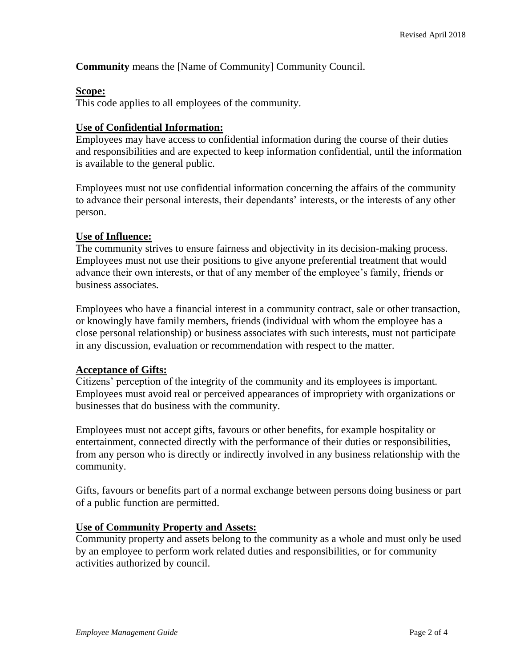**Community** means the [Name of Community] Community Council.

#### **Scope:**

This code applies to all employees of the community.

#### **Use of Confidential Information:**

Employees may have access to confidential information during the course of their duties and responsibilities and are expected to keep information confidential, until the information is available to the general public.

Employees must not use confidential information concerning the affairs of the community to advance their personal interests, their dependants' interests, or the interests of any other person.

#### **Use of Influence:**

The community strives to ensure fairness and objectivity in its decision-making process. Employees must not use their positions to give anyone preferential treatment that would advance their own interests, or that of any member of the employee's family, friends or business associates.

Employees who have a financial interest in a community contract, sale or other transaction, or knowingly have family members, friends (individual with whom the employee has a close personal relationship) or business associates with such interests, must not participate in any discussion, evaluation or recommendation with respect to the matter.

#### **Acceptance of Gifts:**

Citizens' perception of the integrity of the community and its employees is important. Employees must avoid real or perceived appearances of impropriety with organizations or businesses that do business with the community.

Employees must not accept gifts, favours or other benefits, for example hospitality or entertainment, connected directly with the performance of their duties or responsibilities, from any person who is directly or indirectly involved in any business relationship with the community.

Gifts, favours or benefits part of a normal exchange between persons doing business or part of a public function are permitted.

#### **Use of Community Property and Assets:**

Community property and assets belong to the community as a whole and must only be used by an employee to perform work related duties and responsibilities, or for community activities authorized by council.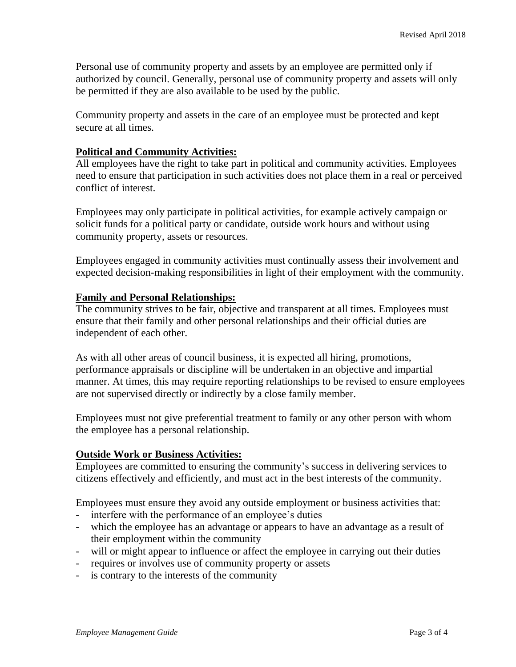Personal use of community property and assets by an employee are permitted only if authorized by council. Generally, personal use of community property and assets will only be permitted if they are also available to be used by the public.

Community property and assets in the care of an employee must be protected and kept secure at all times.

### **Political and Community Activities:**

All employees have the right to take part in political and community activities. Employees need to ensure that participation in such activities does not place them in a real or perceived conflict of interest.

Employees may only participate in political activities, for example actively campaign or solicit funds for a political party or candidate, outside work hours and without using community property, assets or resources.

Employees engaged in community activities must continually assess their involvement and expected decision-making responsibilities in light of their employment with the community.

#### **Family and Personal Relationships:**

The community strives to be fair, objective and transparent at all times. Employees must ensure that their family and other personal relationships and their official duties are independent of each other.

As with all other areas of council business, it is expected all hiring, promotions, performance appraisals or discipline will be undertaken in an objective and impartial manner. At times, this may require reporting relationships to be revised to ensure employees are not supervised directly or indirectly by a close family member.

Employees must not give preferential treatment to family or any other person with whom the employee has a personal relationship.

## **Outside Work or Business Activities:**

Employees are committed to ensuring the community's success in delivering services to citizens effectively and efficiently, and must act in the best interests of the community.

Employees must ensure they avoid any outside employment or business activities that:

- interfere with the performance of an employee's duties
- which the employee has an advantage or appears to have an advantage as a result of their employment within the community
- will or might appear to influence or affect the employee in carrying out their duties
- requires or involves use of community property or assets
- is contrary to the interests of the community